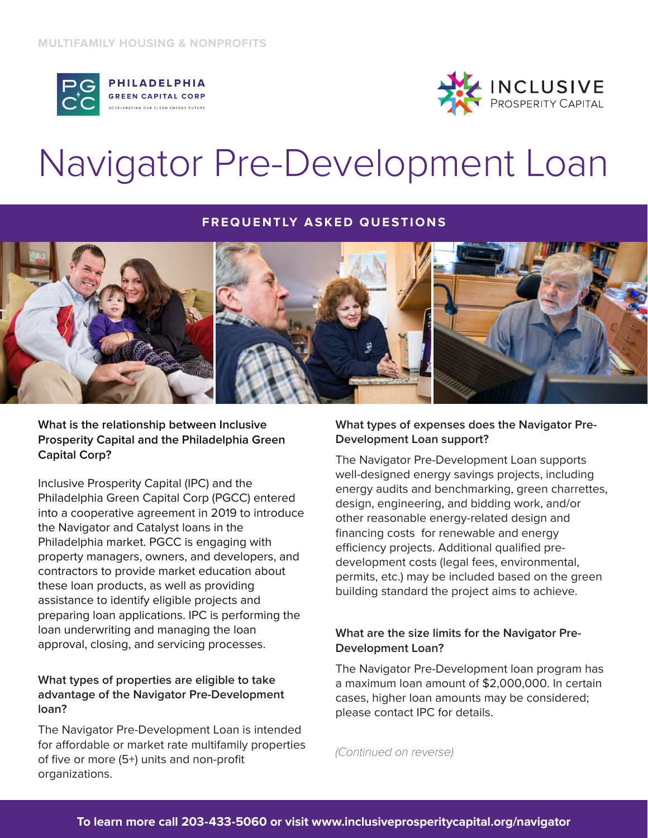



# Navigator Pre-Development Loan

### **FREQUENTLY ASKED QUESTIONS**



**What is the relationship between Inclusive Prosperity Capital and the Philadelphia Green Capital Corp?**

Inclusive Prosperity Capital (IPC) and the Philadelphia Green Capital Corp (PGCC) entered into a cooperative agreement in 2019 to introduce the Navigator and Catalyst loans in the Philadelphia market. PGCC is engaging with property managers, owners, and developers, and contractors to provide market education about these loan products, as well as providing assistance to identify eligible projects and preparing loan applications. IPC is performing the loan underwriting and managing the loan approval, closing, and servicing processes.

# **What types of properties are eligible to take advantage of the Navigator Pre-Development loan?**

The Navigator Pre-Development Loan is intended for affordable or market rate multifamily properties of five or more (5+) units and non-profit organizations.

# **What types of expenses does the Navigator Pre-Development Loan support?**

The Navigator Pre-Development Loan supports well-designed energy savings projects, including energy audits and benchmarking, green charrettes, design, engineering, and bidding work, and/or other reasonable energy-related design and financing costs for renewable and energy efficiency projects. Additional qualified predevelopment costs (legal fees, environmental, permits, etc.) may be included based on the green building standard the project aims to achieve.

# **What are the size limits for the Navigator Pre-Development Loan?**

The Navigator Pre-Development loan program has a maximum loan amount of \$2,000,000. In certain cases, higher loan amounts may be considered; please contact IPC for details.

*(Continued on reverse)*